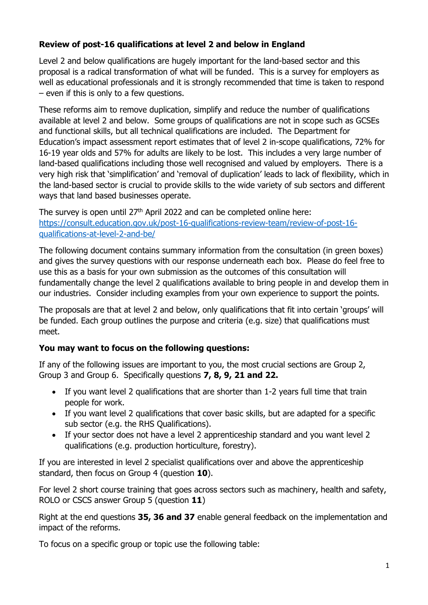## **Review of post-16 qualifications at level 2 and below in England**

Level 2 and below qualifications are hugely important for the land-based sector and this proposal is a radical transformation of what will be funded. This is a survey for employers as well as educational professionals and it is strongly recommended that time is taken to respond – even if this is only to a few questions.

These reforms aim to remove duplication, simplify and reduce the number of qualifications available at level 2 and below. Some groups of qualifications are not in scope such as GCSEs and functional skills, but all technical qualifications are included. The Department for Education's impact assessment report estimates that of level 2 in-scope qualifications, 72% for 16-19 year olds and 57% for adults are likely to be lost. This includes a very large number of land-based qualifications including those well recognised and valued by employers. There is a very high risk that 'simplification' and 'removal of duplication' leads to lack of flexibility, which in the land-based sector is crucial to provide skills to the wide variety of sub sectors and different ways that land based businesses operate.

The survey is open until 27<sup>th</sup> April 2022 and can be completed online here: https://consult.education.gov.uk/post-16-qualifications-review-team/review-of-post-16 qualifications-at-level-2-and-be/

The following document contains summary information from the consultation (in green boxes) and gives the survey questions with our response underneath each box. Please do feel free to use this as a basis for your own submission as the outcomes of this consultation will fundamentally change the level 2 qualifications available to bring people in and develop them in our industries. Consider including examples from your own experience to support the points.

The proposals are that at level 2 and below, only qualifications that fit into certain 'groups' will be funded. Each group outlines the purpose and criteria (e.g. size) that qualifications must meet.

## **You may want to focus on the following questions:**

If any of the following issues are important to you, the most crucial sections are Group 2, Group 3 and Group 6. Specifically questions **7, 8, 9, 21 and 22.** 

- If you want level 2 qualifications that are shorter than 1-2 years full time that train people for work.
- If you want level 2 qualifications that cover basic skills, but are adapted for a specific sub sector (e.g. the RHS Qualifications).
- If your sector does not have a level 2 apprenticeship standard and you want level 2 qualifications (e.g. production horticulture, forestry).

If you are interested in level 2 specialist qualifications over and above the apprenticeship standard, then focus on Group 4 (question **10**).

For level 2 short course training that goes across sectors such as machinery, health and safety, ROLO or CSCS answer Group 5 (question **11**)

Right at the end questions **35, 36 and 37** enable general feedback on the implementation and impact of the reforms.

To focus on a specific group or topic use the following table: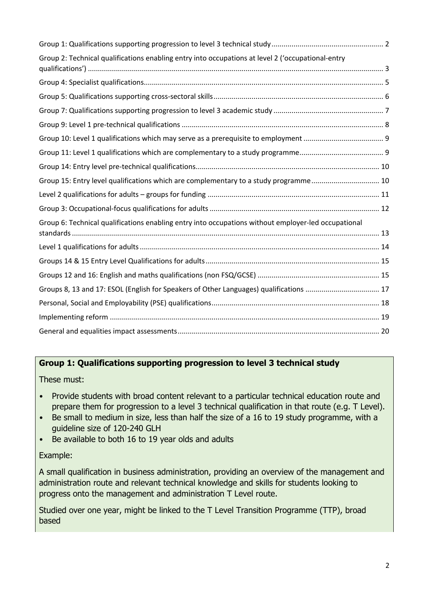| Group 2: Technical qualifications enabling entry into occupations at level 2 ('occupational-entry   |  |
|-----------------------------------------------------------------------------------------------------|--|
|                                                                                                     |  |
|                                                                                                     |  |
|                                                                                                     |  |
|                                                                                                     |  |
|                                                                                                     |  |
|                                                                                                     |  |
|                                                                                                     |  |
| Group 15: Entry level qualifications which are complementary to a study programme 10                |  |
|                                                                                                     |  |
|                                                                                                     |  |
| Group 6: Technical qualifications enabling entry into occupations without employer-led occupational |  |
|                                                                                                     |  |
|                                                                                                     |  |
|                                                                                                     |  |
| Groups 8, 13 and 17: ESOL (English for Speakers of Other Languages) qualifications  17              |  |
|                                                                                                     |  |
|                                                                                                     |  |
|                                                                                                     |  |

## **Group 1: Qualifications supporting progression to level 3 technical study**

These must:

- Provide students with broad content relevant to a particular technical education route and prepare them for progression to a level 3 technical qualification in that route (e.g. T Level).
- Be small to medium in size, less than half the size of a 16 to 19 study programme, with a guideline size of 120-240 GLH
- Be available to both 16 to 19 year olds and adults

#### Example:

A small qualification in business administration, providing an overview of the management and administration route and relevant technical knowledge and skills for students looking to progress onto the management and administration T Level route.

Studied over one year, might be linked to the T Level Transition Programme (TTP), broad based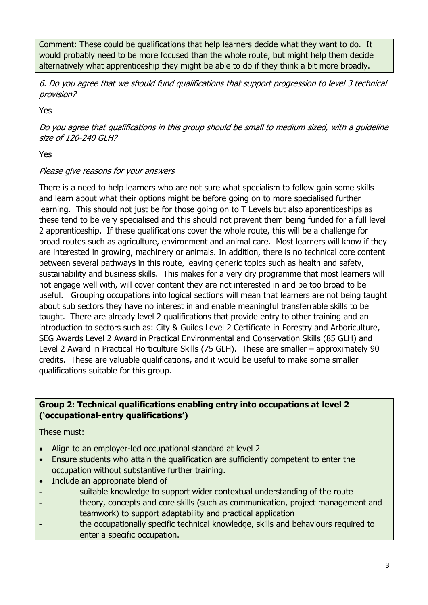Comment: These could be qualifications that help learners decide what they want to do. It would probably need to be more focused than the whole route, but might help them decide alternatively what apprenticeship they might be able to do if they think a bit more broadly.

6. Do you agree that we should fund qualifications that support progression to level 3 technical provision?

Yes

Do you agree that qualifications in this group should be small to medium sized, with a guideline size of 120-240 GLH?

Yes

## Please give reasons for your answers

There is a need to help learners who are not sure what specialism to follow gain some skills and learn about what their options might be before going on to more specialised further learning. This should not just be for those going on to T Levels but also apprenticeships as these tend to be very specialised and this should not prevent them being funded for a full level 2 apprenticeship. If these qualifications cover the whole route, this will be a challenge for broad routes such as agriculture, environment and animal care. Most learners will know if they are interested in growing, machinery or animals. In addition, there is no technical core content between several pathways in this route, leaving generic topics such as health and safety, sustainability and business skills. This makes for a very dry programme that most learners will not engage well with, will cover content they are not interested in and be too broad to be useful. Grouping occupations into logical sections will mean that learners are not being taught about sub sectors they have no interest in and enable meaningful transferrable skills to be taught. There are already level 2 qualifications that provide entry to other training and an introduction to sectors such as: City & Guilds Level 2 Certificate in Forestry and Arboriculture, SEG Awards Level 2 Award in Practical Environmental and Conservation Skills (85 GLH) and Level 2 Award in Practical Horticulture Skills (75 GLH). These are smaller – approximately 90 credits. These are valuable qualifications, and it would be useful to make some smaller qualifications suitable for this group.

## **Group 2: Technical qualifications enabling entry into occupations at level 2 ('occupational-entry qualifications')**

These must:

- Align to an employer-led occupational standard at level 2
- Ensure students who attain the qualification are sufficiently competent to enter the occupation without substantive further training.
- Include an appropriate blend of
- suitable knowledge to support wider contextual understanding of the route
- theory, concepts and core skills (such as communication, project management and teamwork) to support adaptability and practical application
- the occupationally specific technical knowledge, skills and behaviours required to enter a specific occupation.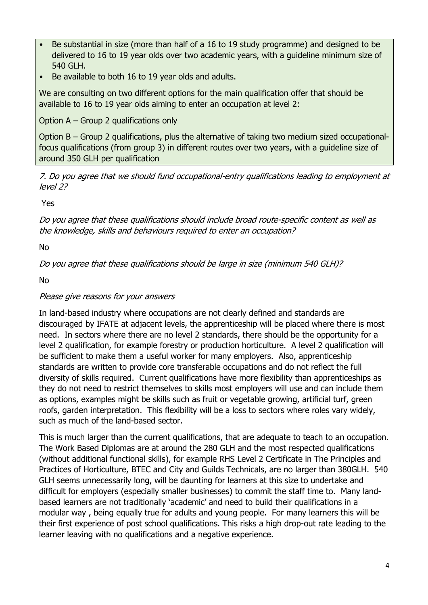- Be substantial in size (more than half of a 16 to 19 study programme) and designed to be delivered to 16 to 19 year olds over two academic years, with a guideline minimum size of 540 GLH.
- Be available to both 16 to 19 year olds and adults.

We are consulting on two different options for the main qualification offer that should be available to 16 to 19 year olds aiming to enter an occupation at level 2:

Option A – Group 2 qualifications only

Option B – Group 2 qualifications, plus the alternative of taking two medium sized occupationalfocus qualifications (from group 3) in different routes over two years, with a guideline size of around 350 GLH per qualification

7. Do you agree that we should fund occupational-entry qualifications leading to employment at level 2?

Yes

Do you agree that these qualifications should include broad route-specific content as well as the knowledge, skills and behaviours required to enter an occupation?

No

Do you agree that these qualifications should be large in size (minimum 540 GLH)?

No

## Please give reasons for your answers

In land-based industry where occupations are not clearly defined and standards are discouraged by IFATE at adjacent levels, the apprenticeship will be placed where there is most need. In sectors where there are no level 2 standards, there should be the opportunity for a level 2 qualification, for example forestry or production horticulture. A level 2 qualification will be sufficient to make them a useful worker for many employers. Also, apprenticeship standards are written to provide core transferable occupations and do not reflect the full diversity of skills required. Current qualifications have more flexibility than apprenticeships as they do not need to restrict themselves to skills most employers will use and can include them as options, examples might be skills such as fruit or vegetable growing, artificial turf, green roofs, garden interpretation. This flexibility will be a loss to sectors where roles vary widely, such as much of the land-based sector.

This is much larger than the current qualifications, that are adequate to teach to an occupation. The Work Based Diplomas are at around the 280 GLH and the most respected qualifications (without additional functional skills), for example RHS Level 2 Certificate in The Principles and Practices of Horticulture, BTEC and City and Guilds Technicals, are no larger than 380GLH. 540 GLH seems unnecessarily long, will be daunting for learners at this size to undertake and difficult for employers (especially smaller businesses) to commit the staff time to. Many landbased learners are not traditionally 'academic' and need to build their qualifications in a modular way , being equally true for adults and young people. For many learners this will be their first experience of post school qualifications. This risks a high drop-out rate leading to the learner leaving with no qualifications and a negative experience.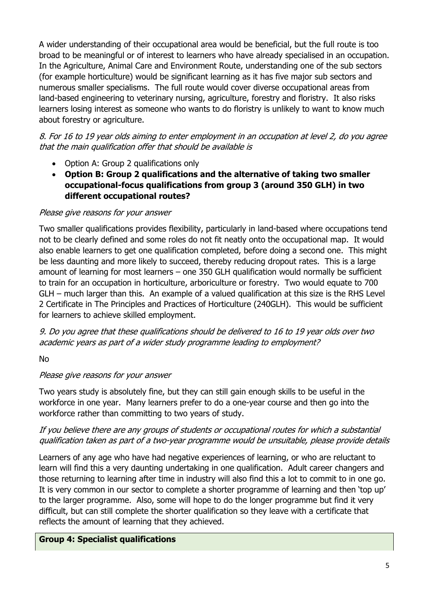A wider understanding of their occupational area would be beneficial, but the full route is too broad to be meaningful or of interest to learners who have already specialised in an occupation. In the Agriculture, Animal Care and Environment Route, understanding one of the sub sectors (for example horticulture) would be significant learning as it has five major sub sectors and numerous smaller specialisms. The full route would cover diverse occupational areas from land-based engineering to veterinary nursing, agriculture, forestry and floristry. It also risks learners losing interest as someone who wants to do floristry is unlikely to want to know much about forestry or agriculture.

8. For 16 to 19 year olds aiming to enter employment in an occupation at level 2, do you agree that the main qualification offer that should be available is

- Option A: Group 2 qualifications only
- **Option B: Group 2 qualifications and the alternative of taking two smaller occupational-focus qualifications from group 3 (around 350 GLH) in two different occupational routes?**

#### Please give reasons for your answer

Two smaller qualifications provides flexibility, particularly in land-based where occupations tend not to be clearly defined and some roles do not fit neatly onto the occupational map. It would also enable learners to get one qualification completed, before doing a second one. This might be less daunting and more likely to succeed, thereby reducing dropout rates. This is a large amount of learning for most learners – one 350 GLH qualification would normally be sufficient to train for an occupation in horticulture, arboriculture or forestry. Two would equate to 700 GLH – much larger than this. An example of a valued qualification at this size is the RHS Level 2 Certificate in The Principles and Practices of Horticulture (240GLH). This would be sufficient for learners to achieve skilled employment.

9. Do you agree that these qualifications should be delivered to 16 to 19 year olds over two academic years as part of a wider study programme leading to employment?

No

## Please give reasons for your answer

Two years study is absolutely fine, but they can still gain enough skills to be useful in the workforce in one year. Many learners prefer to do a one-year course and then go into the workforce rather than committing to two years of study.

## If you believe there are any groups of students or occupational routes for which a substantial qualification taken as part of a two-year programme would be unsuitable, please provide details

Learners of any age who have had negative experiences of learning, or who are reluctant to learn will find this a very daunting undertaking in one qualification. Adult career changers and those returning to learning after time in industry will also find this a lot to commit to in one go. It is very common in our sector to complete a shorter programme of learning and then 'top up' to the larger programme. Also, some will hope to do the longer programme but find it very difficult, but can still complete the shorter qualification so they leave with a certificate that reflects the amount of learning that they achieved.

## **Group 4: Specialist qualifications**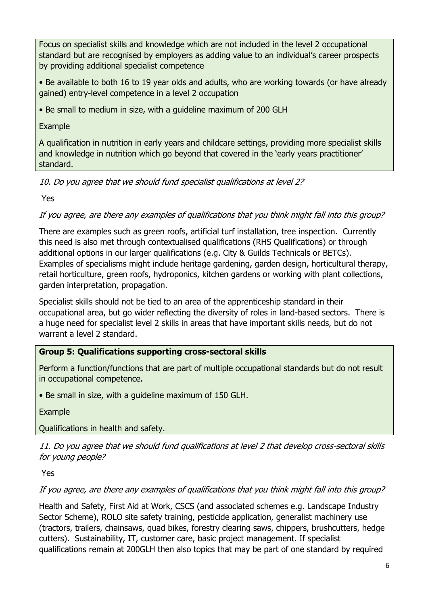Focus on specialist skills and knowledge which are not included in the level 2 occupational standard but are recognised by employers as adding value to an individual's career prospects by providing additional specialist competence

• Be available to both 16 to 19 year olds and adults, who are working towards (or have already gained) entry-level competence in a level 2 occupation

• Be small to medium in size, with a guideline maximum of 200 GLH

Example

A qualification in nutrition in early years and childcare settings, providing more specialist skills and knowledge in nutrition which go beyond that covered in the 'early years practitioner' standard.

10. Do you agree that we should fund specialist qualifications at level 2?

Yes

If you agree, are there any examples of qualifications that you think might fall into this group?

There are examples such as green roofs, artificial turf installation, tree inspection. Currently this need is also met through contextualised qualifications (RHS Qualifications) or through additional options in our larger qualifications (e.g. City & Guilds Technicals or BETCs). Examples of specialisms might include heritage gardening, garden design, horticultural therapy, retail horticulture, green roofs, hydroponics, kitchen gardens or working with plant collections, garden interpretation, propagation.

Specialist skills should not be tied to an area of the apprenticeship standard in their occupational area, but go wider reflecting the diversity of roles in land-based sectors. There is a huge need for specialist level 2 skills in areas that have important skills needs, but do not warrant a level 2 standard.

## **Group 5: Qualifications supporting cross-sectoral skills**

Perform a function/functions that are part of multiple occupational standards but do not result in occupational competence.

• Be small in size, with a guideline maximum of 150 GLH.

Example

Qualifications in health and safety.

11. Do you agree that we should fund qualifications at level 2 that develop cross-sectoral skills for young people?

Yes

If you agree, are there any examples of qualifications that you think might fall into this group?

Health and Safety, First Aid at Work, CSCS (and associated schemes e.g. Landscape Industry Sector Scheme), ROLO site safety training, pesticide application, generalist machinery use (tractors, trailers, chainsaws, quad bikes, forestry clearing saws, chippers, brushcutters, hedge cutters). Sustainability, IT, customer care, basic project management. If specialist qualifications remain at 200GLH then also topics that may be part of one standard by required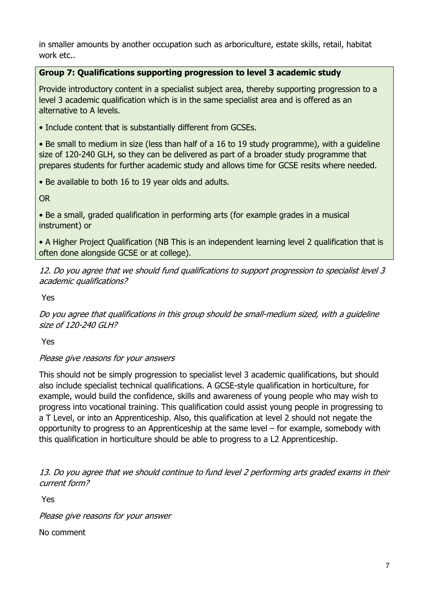in smaller amounts by another occupation such as arboriculture, estate skills, retail, habitat work etc..

## **Group 7: Qualifications supporting progression to level 3 academic study**

Provide introductory content in a specialist subject area, thereby supporting progression to a level 3 academic qualification which is in the same specialist area and is offered as an alternative to A levels.

• Include content that is substantially different from GCSEs.

• Be small to medium in size (less than half of a 16 to 19 study programme), with a guideline size of 120-240 GLH, so they can be delivered as part of a broader study programme that prepares students for further academic study and allows time for GCSE resits where needed.

• Be available to both 16 to 19 year olds and adults.

OR

• Be a small, graded qualification in performing arts (for example grades in a musical instrument) or

• A Higher Project Qualification (NB This is an independent learning level 2 qualification that is often done alongside GCSE or at college).

12. Do you agree that we should fund qualifications to support progression to specialist level 3 academic qualifications?

Yes

Do you agree that qualifications in this group should be small-medium sized, with a guideline size of 120-240 GLH?

Yes

## Please give reasons for your answers

This should not be simply progression to specialist level 3 academic qualifications, but should also include specialist technical qualifications. A GCSE-style qualification in horticulture, for example, would build the confidence, skills and awareness of young people who may wish to progress into vocational training. This qualification could assist young people in progressing to a T Level, or into an Apprenticeship. Also, this qualification at level 2 should not negate the opportunity to progress to an Apprenticeship at the same level – for example, somebody with this qualification in horticulture should be able to progress to a L2 Apprenticeship.

13. Do you agree that we should continue to fund level 2 performing arts graded exams in their current form?

Yes

Please give reasons for your answer

No comment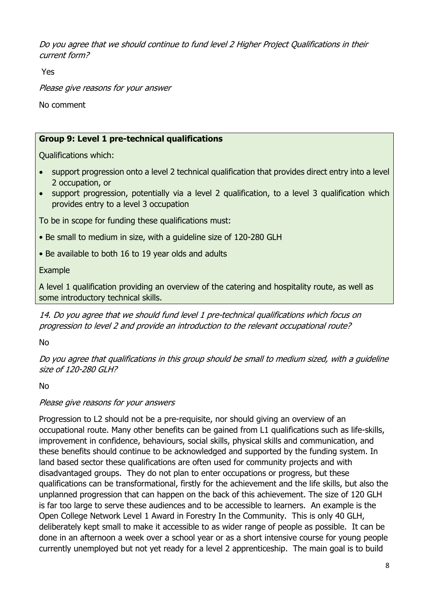Do you agree that we should continue to fund level 2 Higher Project Qualifications in their current form?

Yes

Please give reasons for your answer

No comment

## **Group 9: Level 1 pre-technical qualifications**

Qualifications which:

- support progression onto a level 2 technical qualification that provides direct entry into a level 2 occupation, or
- support progression, potentially via a level 2 qualification, to a level 3 qualification which provides entry to a level 3 occupation

To be in scope for funding these qualifications must:

- Be small to medium in size, with a guideline size of 120-280 GLH
- Be available to both 16 to 19 year olds and adults

Example

A level 1 qualification providing an overview of the catering and hospitality route, as well as some introductory technical skills.

14. Do you agree that we should fund level 1 pre-technical qualifications which focus on progression to level 2 and provide an introduction to the relevant occupational route?

No

Do you agree that qualifications in this group should be small to medium sized, with a guideline size of 120-280 GLH?

No

## Please give reasons for your answers

Progression to L2 should not be a pre-requisite, nor should giving an overview of an occupational route. Many other benefits can be gained from L1 qualifications such as life-skills, improvement in confidence, behaviours, social skills, physical skills and communication, and these benefits should continue to be acknowledged and supported by the funding system. In land based sector these qualifications are often used for community projects and with disadvantaged groups. They do not plan to enter occupations or progress, but these qualifications can be transformational, firstly for the achievement and the life skills, but also the unplanned progression that can happen on the back of this achievement. The size of 120 GLH is far too large to serve these audiences and to be accessible to learners. An example is the Open College Network Level 1 Award in Forestry In the Community. This is only 40 GLH, deliberately kept small to make it accessible to as wider range of people as possible. It can be done in an afternoon a week over a school year or as a short intensive course for young people currently unemployed but not yet ready for a level 2 apprenticeship. The main goal is to build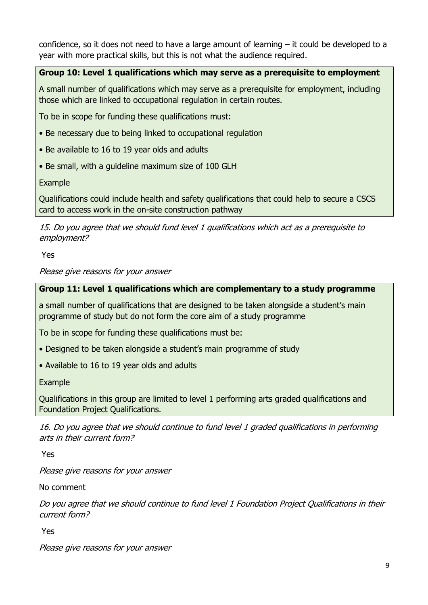confidence, so it does not need to have a large amount of learning – it could be developed to a year with more practical skills, but this is not what the audience required.

## **Group 10: Level 1 qualifications which may serve as a prerequisite to employment**

A small number of qualifications which may serve as a prerequisite for employment, including those which are linked to occupational regulation in certain routes.

To be in scope for funding these qualifications must:

- Be necessary due to being linked to occupational regulation
- Be available to 16 to 19 year olds and adults
- Be small, with a guideline maximum size of 100 GLH

Example

Qualifications could include health and safety qualifications that could help to secure a CSCS card to access work in the on-site construction pathway

15. Do you agree that we should fund level 1 qualifications which act as a prerequisite to employment?

Yes

Please give reasons for your answer

## **Group 11: Level 1 qualifications which are complementary to a study programme**

a small number of qualifications that are designed to be taken alongside a student's main programme of study but do not form the core aim of a study programme

To be in scope for funding these qualifications must be:

- Designed to be taken alongside a student's main programme of study
- Available to 16 to 19 year olds and adults

Example

Qualifications in this group are limited to level 1 performing arts graded qualifications and Foundation Project Qualifications.

16. Do you agree that we should continue to fund level 1 graded qualifications in performing arts in their current form?

Yes

Please give reasons for your answer

No comment

Do you agree that we should continue to fund level 1 Foundation Project Qualifications in their current form?

Yes

Please give reasons for your answer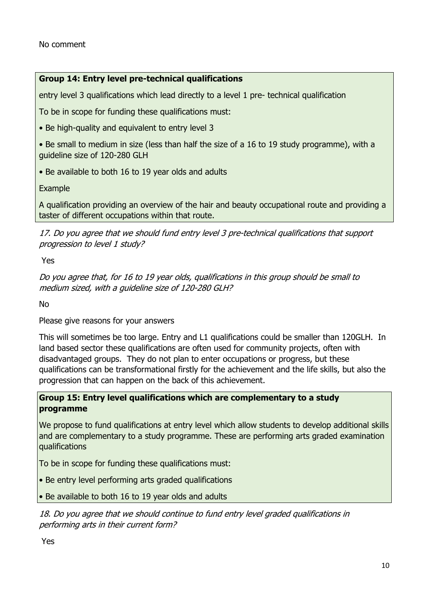### **Group 14: Entry level pre-technical qualifications**

entry level 3 qualifications which lead directly to a level 1 pre- technical qualification

To be in scope for funding these qualifications must:

• Be high-quality and equivalent to entry level 3

• Be small to medium in size (less than half the size of a 16 to 19 study programme), with a guideline size of 120-280 GLH

• Be available to both 16 to 19 year olds and adults

Example

A qualification providing an overview of the hair and beauty occupational route and providing a taster of different occupations within that route.

17. Do you agree that we should fund entry level 3 pre-technical qualifications that support progression to level 1 study?

Yes

Do you agree that, for 16 to 19 year olds, qualifications in this group should be small to medium sized, with a guideline size of 120-280 GLH?

No

Please give reasons for your answers

This will sometimes be too large. Entry and L1 qualifications could be smaller than 120GLH. In land based sector these qualifications are often used for community projects, often with disadvantaged groups. They do not plan to enter occupations or progress, but these qualifications can be transformational firstly for the achievement and the life skills, but also the progression that can happen on the back of this achievement.

#### **Group 15: Entry level qualifications which are complementary to a study programme**

We propose to fund qualifications at entry level which allow students to develop additional skills and are complementary to a study programme. These are performing arts graded examination qualifications

To be in scope for funding these qualifications must:

• Be entry level performing arts graded qualifications

• Be available to both 16 to 19 year olds and adults

18. Do you agree that we should continue to fund entry level graded qualifications in performing arts in their current form?

Yes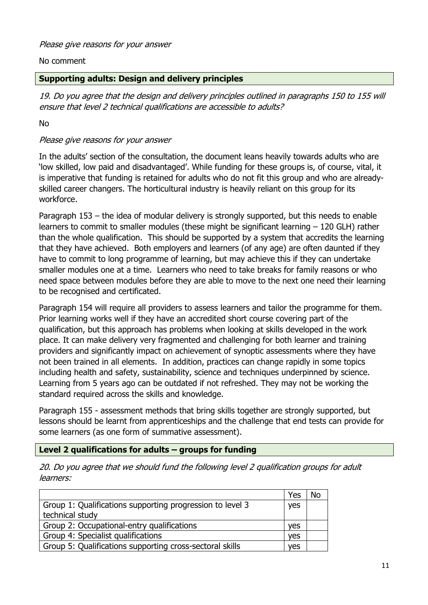#### No comment

#### **Supporting adults: Design and delivery principles**

19. Do you agree that the design and delivery principles outlined in paragraphs 150 to 155 will ensure that level 2 technical qualifications are accessible to adults?

No

### Please give reasons for your answer

In the adults' section of the consultation, the document leans heavily towards adults who are 'low skilled, low paid and disadvantaged'. While funding for these groups is, of course, vital, it is imperative that funding is retained for adults who do not fit this group and who are alreadyskilled career changers. The horticultural industry is heavily reliant on this group for its workforce.

Paragraph 153 – the idea of modular delivery is strongly supported, but this needs to enable learners to commit to smaller modules (these might be significant learning – 120 GLH) rather than the whole qualification. This should be supported by a system that accredits the learning that they have achieved. Both employers and learners (of any age) are often daunted if they have to commit to long programme of learning, but may achieve this if they can undertake smaller modules one at a time. Learners who need to take breaks for family reasons or who need space between modules before they are able to move to the next one need their learning to be recognised and certificated.

Paragraph 154 will require all providers to assess learners and tailor the programme for them. Prior learning works well if they have an accredited short course covering part of the qualification, but this approach has problems when looking at skills developed in the work place. It can make delivery very fragmented and challenging for both learner and training providers and significantly impact on achievement of synoptic assessments where they have not been trained in all elements. In addition, practices can change rapidly in some topics including health and safety, sustainability, science and techniques underpinned by science. Learning from 5 years ago can be outdated if not refreshed. They may not be working the standard required across the skills and knowledge.

Paragraph 155 - assessment methods that bring skills together are strongly supported, but lessons should be learnt from apprenticeships and the challenge that end tests can provide for some learners (as one form of summative assessment).

#### **Level 2 qualifications for adults – groups for funding**

20. Do you agree that we should fund the following level 2 qualification groups for adult learners:

|                                                           | Yes        | No |
|-----------------------------------------------------------|------------|----|
| Group 1: Qualifications supporting progression to level 3 | <b>yes</b> |    |
| technical study                                           |            |    |
| Group 2: Occupational-entry qualifications                | ves        |    |
| Group 4: Specialist qualifications                        | ves        |    |
| Group 5: Qualifications supporting cross-sectoral skills  | ves        |    |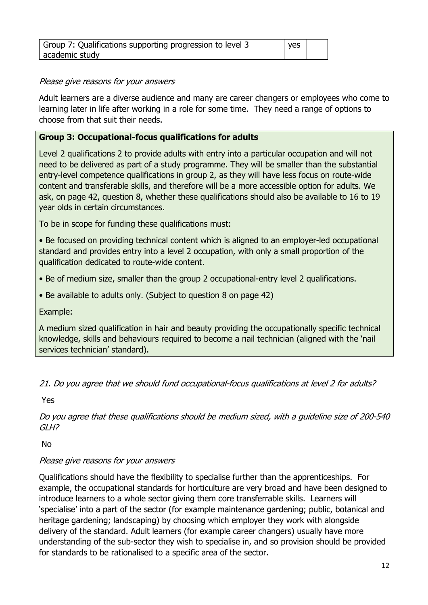| Group 7: Qualifications supporting progression to level 3 | yes |  |
|-----------------------------------------------------------|-----|--|
| academic study                                            |     |  |

#### Please give reasons for your answers

Adult learners are a diverse audience and many are career changers or employees who come to learning later in life after working in a role for some time. They need a range of options to choose from that suit their needs.

## **Group 3: Occupational-focus qualifications for adults**

Level 2 qualifications 2 to provide adults with entry into a particular occupation and will not need to be delivered as part of a study programme. They will be smaller than the substantial entry-level competence qualifications in group 2, as they will have less focus on route-wide content and transferable skills, and therefore will be a more accessible option for adults. We ask, on page 42, question 8, whether these qualifications should also be available to 16 to 19 year olds in certain circumstances.

To be in scope for funding these qualifications must:

• Be focused on providing technical content which is aligned to an employer-led occupational standard and provides entry into a level 2 occupation, with only a small proportion of the qualification dedicated to route-wide content.

- Be of medium size, smaller than the group 2 occupational-entry level 2 qualifications.
- Be available to adults only. (Subject to question 8 on page 42)

Example:

A medium sized qualification in hair and beauty providing the occupationally specific technical knowledge, skills and behaviours required to become a nail technician (aligned with the 'nail services technician' standard).

21. Do you agree that we should fund occupational-focus qualifications at level 2 for adults?

Yes

Do you agree that these qualifications should be medium sized, with a guideline size of 200-540 GLH?

No

## Please give reasons for your answers

Qualifications should have the flexibility to specialise further than the apprenticeships. For example, the occupational standards for horticulture are very broad and have been designed to introduce learners to a whole sector giving them core transferrable skills. Learners will 'specialise' into a part of the sector (for example maintenance gardening; public, botanical and heritage gardening; landscaping) by choosing which employer they work with alongside delivery of the standard. Adult learners (for example career changers) usually have more understanding of the sub-sector they wish to specialise in, and so provision should be provided for standards to be rationalised to a specific area of the sector.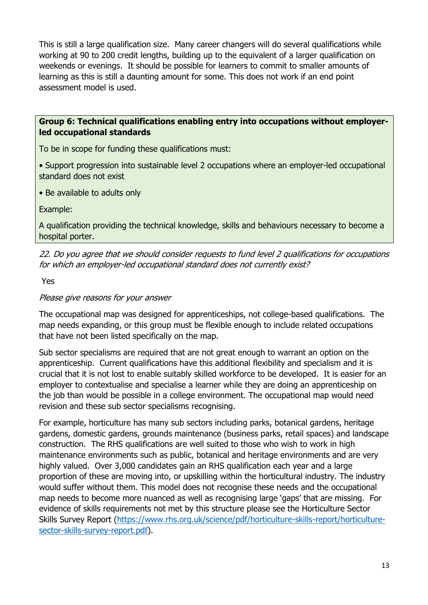This is still a large qualification size. Many career changers will do several qualifications while working at 90 to 200 credit lengths, building up to the equivalent of a larger qualification on weekends or evenings. It should be possible for learners to commit to smaller amounts of learning as this is still a daunting amount for some. This does not work if an end point assessment model is used.

#### **Group 6: Technical qualifications enabling entry into occupations without employerled occupational standards**

To be in scope for funding these qualifications must:

• Support progression into sustainable level 2 occupations where an employer-led occupational standard does not exist

• Be available to adults only

Example:

A qualification providing the technical knowledge, skills and behaviours necessary to become a hospital porter.

22. Do you agree that we should consider requests to fund level 2 qualifications for occupations for which an employer-led occupational standard does not currently exist?

Yes

#### Please give reasons for your answer

The occupational map was designed for apprenticeships, not college-based qualifications. The map needs expanding, or this group must be flexible enough to include related occupations that have not been listed specifically on the map.

Sub sector specialisms are required that are not great enough to warrant an option on the apprenticeship. Current qualifications have this additional flexibility and specialism and it is crucial that it is not lost to enable suitably skilled workforce to be developed. It is easier for an employer to contextualise and specialise a learner while they are doing an apprenticeship on the job than would be possible in a college environment. The occupational map would need revision and these sub sector specialisms recognising.

For example, horticulture has many sub sectors including parks, botanical gardens, heritage gardens, domestic gardens, grounds maintenance (business parks, retail spaces) and landscape construction. The RHS qualifications are well suited to those who wish to work in high maintenance environments such as public, botanical and heritage environments and are very highly valued. Over 3,000 candidates gain an RHS qualification each year and a large proportion of these are moving into, or upskilling within the horticultural industry. The industry would suffer without them. This model does not recognise these needs and the occupational map needs to become more nuanced as well as recognising large 'gaps' that are missing. For evidence of skills requirements not met by this structure please see the Horticulture Sector Skills Survey Report (https://www.rhs.org.uk/science/pdf/horticulture-skills-report/horticulturesector-skills-survey-report.pdf).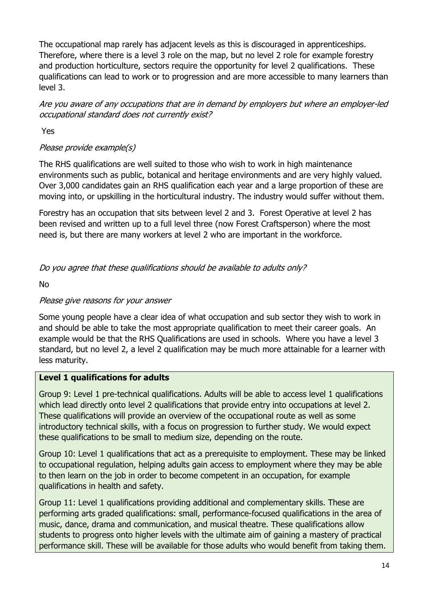The occupational map rarely has adjacent levels as this is discouraged in apprenticeships. Therefore, where there is a level 3 role on the map, but no level 2 role for example forestry and production horticulture, sectors require the opportunity for level 2 qualifications. These qualifications can lead to work or to progression and are more accessible to many learners than level 3.

Are you aware of any occupations that are in demand by employers but where an employer-led occupational standard does not currently exist?

Yes

## Please provide example(s)

The RHS qualifications are well suited to those who wish to work in high maintenance environments such as public, botanical and heritage environments and are very highly valued. Over 3,000 candidates gain an RHS qualification each year and a large proportion of these are moving into, or upskilling in the horticultural industry. The industry would suffer without them.

Forestry has an occupation that sits between level 2 and 3. Forest Operative at level 2 has been revised and written up to a full level three (now Forest Craftsperson) where the most need is, but there are many workers at level 2 who are important in the workforce.

Do you agree that these qualifications should be available to adults only?

No

## Please give reasons for your answer

Some young people have a clear idea of what occupation and sub sector they wish to work in and should be able to take the most appropriate qualification to meet their career goals. An example would be that the RHS Qualifications are used in schools. Where you have a level 3 standard, but no level 2, a level 2 qualification may be much more attainable for a learner with less maturity.

## **Level 1 qualifications for adults**

Group 9: Level 1 pre-technical qualifications. Adults will be able to access level 1 qualifications which lead directly onto level 2 qualifications that provide entry into occupations at level 2. These qualifications will provide an overview of the occupational route as well as some introductory technical skills, with a focus on progression to further study. We would expect these qualifications to be small to medium size, depending on the route.

Group 10: Level 1 qualifications that act as a prerequisite to employment. These may be linked to occupational regulation, helping adults gain access to employment where they may be able to then learn on the job in order to become competent in an occupation, for example qualifications in health and safety.

Group 11: Level 1 qualifications providing additional and complementary skills. These are performing arts graded qualifications: small, performance-focused qualifications in the area of music, dance, drama and communication, and musical theatre. These qualifications allow students to progress onto higher levels with the ultimate aim of gaining a mastery of practical performance skill. These will be available for those adults who would benefit from taking them.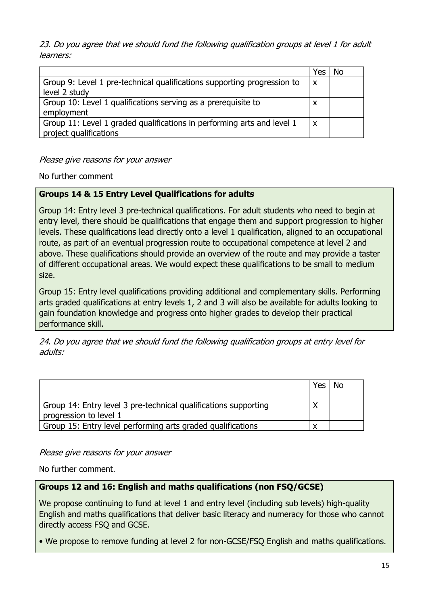23. Do you agree that we should fund the following qualification groups at level 1 for adult learners:

|                                                                         | res                       |  |
|-------------------------------------------------------------------------|---------------------------|--|
| Group 9: Level 1 pre-technical qualifications supporting progression to | $\mathsf{X}$              |  |
| level 2 study                                                           |                           |  |
| Group 10: Level 1 qualifications serving as a prerequisite to           | X                         |  |
| employment                                                              |                           |  |
| Group 11: Level 1 graded qualifications in performing arts and level 1  | $\boldsymbol{\mathsf{x}}$ |  |
| project qualifications                                                  |                           |  |

Please give reasons for your answer

No further comment

## **Groups 14 & 15 Entry Level Qualifications for adults**

Group 14: Entry level 3 pre-technical qualifications. For adult students who need to begin at entry level, there should be qualifications that engage them and support progression to higher levels. These qualifications lead directly onto a level 1 qualification, aligned to an occupational route, as part of an eventual progression route to occupational competence at level 2 and above. These qualifications should provide an overview of the route and may provide a taster of different occupational areas. We would expect these qualifications to be small to medium size.

Group 15: Entry level qualifications providing additional and complementary skills. Performing arts graded qualifications at entry levels 1, 2 and 3 will also be available for adults looking to gain foundation knowledge and progress onto higher grades to develop their practical performance skill.

24. Do you agree that we should fund the following qualification groups at entry level for adults:

|                                                                                           | Yes | No |
|-------------------------------------------------------------------------------------------|-----|----|
| Group 14: Entry level 3 pre-technical qualifications supporting<br>progression to level 1 |     |    |
| Group 15: Entry level performing arts graded qualifications                               |     |    |

## Please give reasons for your answer

No further comment.

## **Groups 12 and 16: English and maths qualifications (non FSQ/GCSE)**

We propose continuing to fund at level 1 and entry level (including sub levels) high-quality English and maths qualifications that deliver basic literacy and numeracy for those who cannot directly access FSQ and GCSE.

• We propose to remove funding at level 2 for non-GCSE/FSQ English and maths qualifications.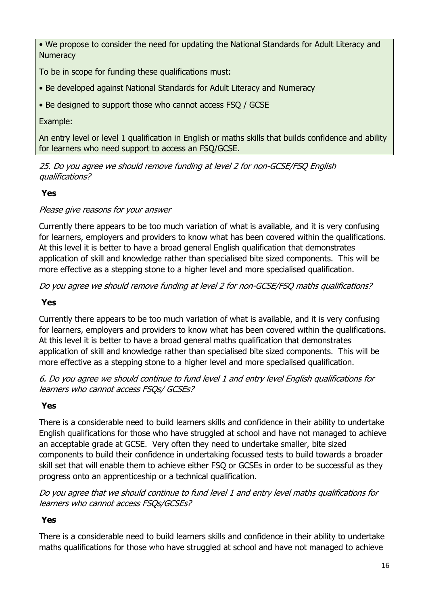• We propose to consider the need for updating the National Standards for Adult Literacy and **Numeracy** 

To be in scope for funding these qualifications must:

- Be developed against National Standards for Adult Literacy and Numeracy
- Be designed to support those who cannot access FSQ / GCSE

## Example:

An entry level or level 1 qualification in English or maths skills that builds confidence and ability for learners who need support to access an FSQ/GCSE.

25. Do you agree we should remove funding at level 2 for non-GCSE/FSQ English qualifications?

# **Yes**

## Please give reasons for your answer

Currently there appears to be too much variation of what is available, and it is very confusing for learners, employers and providers to know what has been covered within the qualifications. At this level it is better to have a broad general English qualification that demonstrates application of skill and knowledge rather than specialised bite sized components. This will be more effective as a stepping stone to a higher level and more specialised qualification.

Do you agree we should remove funding at level 2 for non-GCSE/FSQ maths qualifications?

# **Yes**

Currently there appears to be too much variation of what is available, and it is very confusing for learners, employers and providers to know what has been covered within the qualifications. At this level it is better to have a broad general maths qualification that demonstrates application of skill and knowledge rather than specialised bite sized components. This will be more effective as a stepping stone to a higher level and more specialised qualification.

6. Do you agree we should continue to fund level 1 and entry level English qualifications for learners who cannot access FSQs/ GCSEs?

# **Yes**

There is a considerable need to build learners skills and confidence in their ability to undertake English qualifications for those who have struggled at school and have not managed to achieve an acceptable grade at GCSE. Very often they need to undertake smaller, bite sized components to build their confidence in undertaking focussed tests to build towards a broader skill set that will enable them to achieve either FSQ or GCSEs in order to be successful as they progress onto an apprenticeship or a technical qualification.

Do you agree that we should continue to fund level 1 and entry level maths qualifications for learners who cannot access FSQs/GCSEs?

# **Yes**

There is a considerable need to build learners skills and confidence in their ability to undertake maths qualifications for those who have struggled at school and have not managed to achieve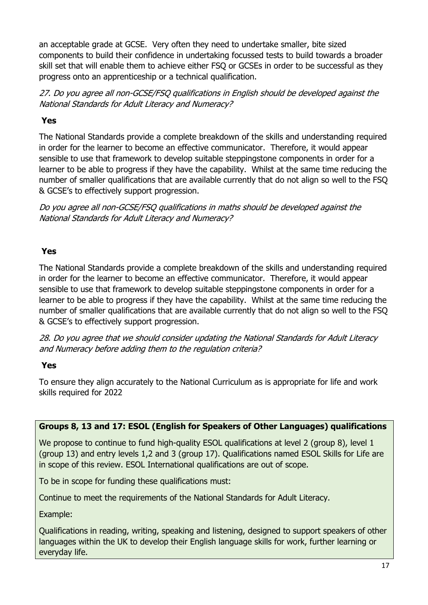an acceptable grade at GCSE. Very often they need to undertake smaller, bite sized components to build their confidence in undertaking focussed tests to build towards a broader skill set that will enable them to achieve either FSQ or GCSEs in order to be successful as they progress onto an apprenticeship or a technical qualification.

27. Do you agree all non-GCSE/FSQ qualifications in English should be developed against the National Standards for Adult Literacy and Numeracy?

## **Yes**

The National Standards provide a complete breakdown of the skills and understanding required in order for the learner to become an effective communicator. Therefore, it would appear sensible to use that framework to develop suitable steppingstone components in order for a learner to be able to progress if they have the capability. Whilst at the same time reducing the number of smaller qualifications that are available currently that do not align so well to the FSQ & GCSE's to effectively support progression.

Do you agree all non-GCSE/FSQ qualifications in maths should be developed against the National Standards for Adult Literacy and Numeracy?

# **Yes**

The National Standards provide a complete breakdown of the skills and understanding required in order for the learner to become an effective communicator. Therefore, it would appear sensible to use that framework to develop suitable steppingstone components in order for a learner to be able to progress if they have the capability. Whilst at the same time reducing the number of smaller qualifications that are available currently that do not align so well to the FSQ & GCSE's to effectively support progression.

28. Do you agree that we should consider updating the National Standards for Adult Literacy and Numeracy before adding them to the regulation criteria?

## **Yes**

To ensure they align accurately to the National Curriculum as is appropriate for life and work skills required for 2022

## **Groups 8, 13 and 17: ESOL (English for Speakers of Other Languages) qualifications**

We propose to continue to fund high-quality ESOL qualifications at level 2 (group 8), level 1 (group 13) and entry levels 1,2 and 3 (group 17). Qualifications named ESOL Skills for Life are in scope of this review. ESOL International qualifications are out of scope.

To be in scope for funding these qualifications must:

Continue to meet the requirements of the National Standards for Adult Literacy.

Example:

Qualifications in reading, writing, speaking and listening, designed to support speakers of other languages within the UK to develop their English language skills for work, further learning or everyday life.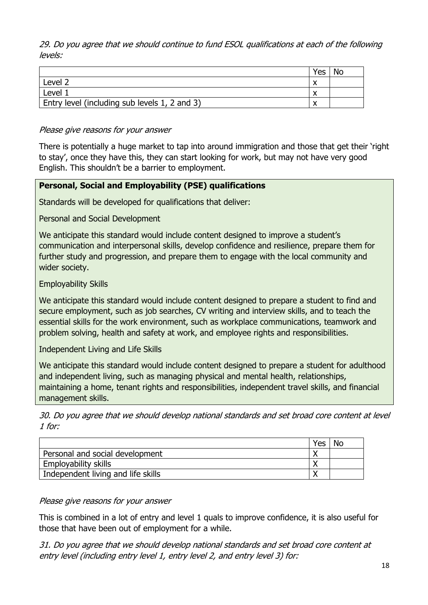29. Do you agree that we should continue to fund ESOL qualifications at each of the following levels:

|                                               | Yes | No |
|-----------------------------------------------|-----|----|
| Level 2                                       |     |    |
| Level 1                                       |     |    |
| Entry level (including sub levels 1, 2 and 3) |     |    |

#### Please give reasons for your answer

There is potentially a huge market to tap into around immigration and those that get their 'right to stay', once they have this, they can start looking for work, but may not have very good English. This shouldn't be a barrier to employment.

## **Personal, Social and Employability (PSE) qualifications**

Standards will be developed for qualifications that deliver:

Personal and Social Development

We anticipate this standard would include content designed to improve a student's communication and interpersonal skills, develop confidence and resilience, prepare them for further study and progression, and prepare them to engage with the local community and wider society.

Employability Skills

We anticipate this standard would include content designed to prepare a student to find and secure employment, such as job searches, CV writing and interview skills, and to teach the essential skills for the work environment, such as workplace communications, teamwork and problem solving, health and safety at work, and employee rights and responsibilities.

Independent Living and Life Skills

We anticipate this standard would include content designed to prepare a student for adulthood and independent living, such as managing physical and mental health, relationships, maintaining a home, tenant rights and responsibilities, independent travel skills, and financial management skills.

30. Do you agree that we should develop national standards and set broad core content at level 1 for:

|                                    | Yes |  |
|------------------------------------|-----|--|
| Personal and social development    |     |  |
| <b>Employability skills</b>        |     |  |
| Independent living and life skills |     |  |

#### Please give reasons for your answer

This is combined in a lot of entry and level 1 quals to improve confidence, it is also useful for those that have been out of employment for a while.

31. Do you agree that we should develop national standards and set broad core content at entry level (including entry level 1, entry level 2, and entry level 3) for: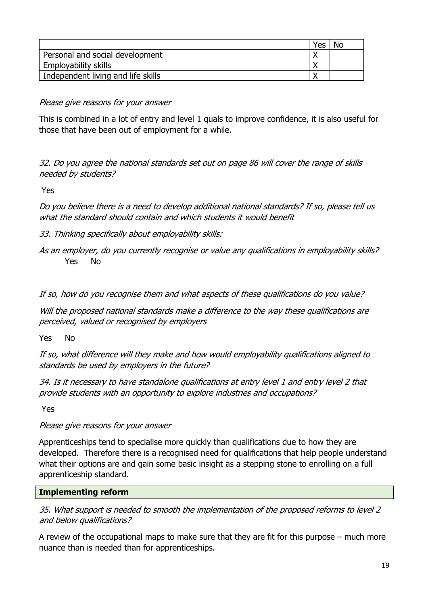|                                    | Yes | No |
|------------------------------------|-----|----|
| Personal and social development    |     |    |
| <b>Employability skills</b>        |     |    |
| Independent living and life skills |     |    |

## Please give reasons for your answer

This is combined in a lot of entry and level 1 quals to improve confidence, it is also useful for those that have been out of employment for a while.

32. Do you agree the national standards set out on page 86 will cover the range of skills needed by students?

Yes

Do you believe there is a need to develop additional national standards? If so, please tell us what the standard should contain and which students it would benefit

- 33. Thinking specifically about employability skills:
- As an employer, do you currently recognise or value any qualifications in employability skills? Yes No

If so, how do you recognise them and what aspects of these qualifications do you value?

Will the proposed national standards make a difference to the way these qualifications are perceived, valued or recognised by employers

Yes No

If so, what difference will they make and how would employability qualifications aligned to standards be used by employers in the future?

34. Is it necessary to have standalone qualifications at entry level 1 and entry level 2 that provide students with an opportunity to explore industries and occupations?

Yes

Please give reasons for your answer

Apprenticeships tend to specialise more quickly than qualifications due to how they are developed. Therefore there is a recognised need for qualifications that help people understand what their options are and gain some basic insight as a stepping stone to enrolling on a full apprenticeship standard.

#### **Implementing reform**

35. What support is needed to smooth the implementation of the proposed reforms to level 2 and below qualifications?

A review of the occupational maps to make sure that they are fit for this purpose – much more nuance than is needed than for apprenticeships.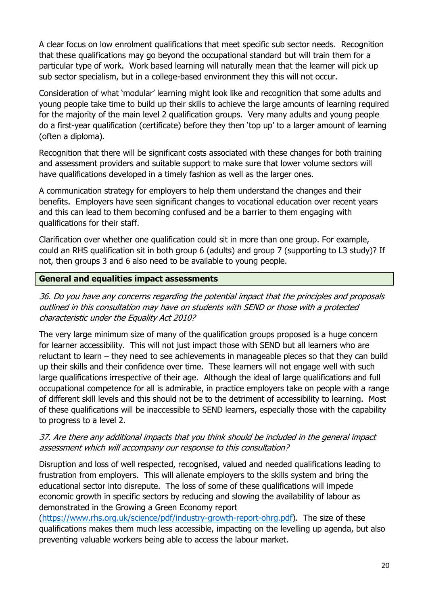A clear focus on low enrolment qualifications that meet specific sub sector needs. Recognition that these qualifications may go beyond the occupational standard but will train them for a particular type of work. Work based learning will naturally mean that the learner will pick up sub sector specialism, but in a college-based environment they this will not occur.

Consideration of what 'modular' learning might look like and recognition that some adults and young people take time to build up their skills to achieve the large amounts of learning required for the majority of the main level 2 qualification groups. Very many adults and young people do a first-year qualification (certificate) before they then 'top up' to a larger amount of learning (often a diploma).

Recognition that there will be significant costs associated with these changes for both training and assessment providers and suitable support to make sure that lower volume sectors will have qualifications developed in a timely fashion as well as the larger ones.

A communication strategy for employers to help them understand the changes and their benefits. Employers have seen significant changes to vocational education over recent years and this can lead to them becoming confused and be a barrier to them engaging with qualifications for their staff.

Clarification over whether one qualification could sit in more than one group. For example, could an RHS qualification sit in both group 6 (adults) and group 7 (supporting to L3 study)? If not, then groups 3 and 6 also need to be available to young people.

## **General and equalities impact assessments**

36. Do you have any concerns regarding the potential impact that the principles and proposals outlined in this consultation may have on students with SEND or those with a protected characteristic under the Equality Act 2010?

The very large minimum size of many of the qualification groups proposed is a huge concern for learner accessibility. This will not just impact those with SEND but all learners who are reluctant to learn – they need to see achievements in manageable pieces so that they can build up their skills and their confidence over time. These learners will not engage well with such large qualifications irrespective of their age. Although the ideal of large qualifications and full occupational competence for all is admirable, in practice employers take on people with a range of different skill levels and this should not be to the detriment of accessibility to learning. Most of these qualifications will be inaccessible to SEND learners, especially those with the capability to progress to a level 2.

## 37. Are there any additional impacts that you think should be included in the general impact assessment which will accompany our response to this consultation?

Disruption and loss of well respected, recognised, valued and needed qualifications leading to frustration from employers. This will alienate employers to the skills system and bring the educational sector into disrepute. The loss of some of these qualifications will impede economic growth in specific sectors by reducing and slowing the availability of labour as demonstrated in the Growing a Green Economy report

(https://www.rhs.org.uk/science/pdf/industry-growth-report-ohrg.pdf). The size of these qualifications makes them much less accessible, impacting on the levelling up agenda, but also preventing valuable workers being able to access the labour market.